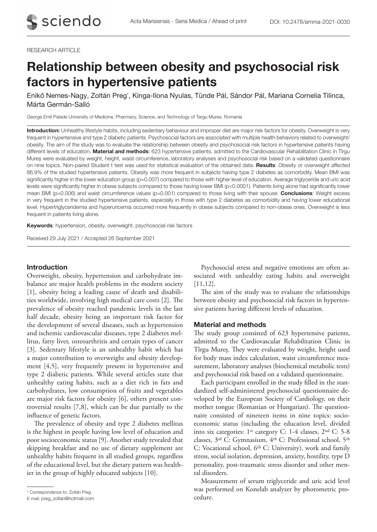## RESEARCH ARTICLE

# Relationship between obesity and psychosocial risk factors in hypertensive patients

Enikő Nemes-Nagy, Zoltán Preg\*, Kinga-Ilona Nyulas, Tünde Pál, Sándor Pál, Mariana Cornelia Tilinca, Márta Germán-Salló

George Emil Palade University of Medicine, Pharmacy, Science, and Technology of Targu Mures, Romania

Introduction: Unhealthy lifestyle habits, including sedentary behaviour and improper diet are major risk factors for obesity. Overweight is very frequent in hypertensive and type 2 diabetic patients. Psychosocial factors are associated with multiple health behaviors related to overweight/ obesity. The aim of the study was to evaluate the relationship between obesity and psychosocial risk factors in hypertensive patients having different levels of education. Material and methods: 623 hypertensive patients, admitted to the Cardiovascular Rehabilitation Clinic in Tîrgu Mureș were evaluated by weight, height, waist circumference, laboratory analyses and psychosocial risk based on a validated questionnaire on nine topics. Non-paired Student t test was used for statistical evaluation of the obtained data. Results: Obesity or overweight affected 86.9% of the studied hypertensive patients. Obesity was more frequent in subjects having type 2 diabetes as comorbidity. Mean BMI was significantly higher in the lower education group (p=0.007) compared to those with higher level of education. Average triglyceride and uric acid levels were significantly higher in obese subjects compared to those having lower BMI (p<0.0001). Patients living alone had significantly lower mean BMI ( $p=0.006$ ) and waist circumference values ( $p=0.001$ ) compared to those living with their spouse. Conclusions: Weight excess in very frequent in the studied hypertensive patients, especially in those with type 2 diabetes as comorbidity and having lower educational level. Hypertriglyceridemia and hyperuricemia occurred more frequently in obese subjects compared to non-obese ones. Overweight is less frequent in patients living alone.

Keywords: hypertension, obesity, overweight, psychosocial risk factors

Received 29 July 2021 / Accepted 26 September 2021

## Introduction

Overweight, obesity, hypertension and carbohydrate imbalance are major health problems in the modern society [1], obesity being a leading cause of death and disabilities worldwide, involving high medical care costs [2]. The prevalence of obesity reached pandemic levels in the last half decade, obesity being an important risk factor for the development of several diseases, such as hypertension and ischemic cardiovascular diseases, type 2 diabetes mellitus, fatty liver, osteoarthritis and certain types of cancer [3]. Sedentary lifestyle is an unhealthy habit which has a major contribution to overweight and obesity development [4,5], very frequently present in hypertensive and type 2 diabetic patients. While several articles state that unhealthy eating habits, such as a diet rich in fats and carbohydrates, low consumption of fruits and vegetables are major risk factors for obesity [6], others present controversial results [7,8], which can be due partially to the influence of genetic factors.

The prevalence of obesity and type 2 diabetes mellitus is the highest in people having low level of education and poor socioeconomic status [9]. Another study revealed that skipping breakfast and no use of dietary supplement are unhealthy habits frequent in all studied groups, regardless of the educational level, but the dietary pattern was healthier in the group of highly educated subjects [10].

Psychosocial stress and negative emotions are often associated with unhealthy eating habits and overweight [11,12].

The aim of the study was to evaluate the relationships between obesity and psychosocial risk factors in hypertensive patients having different levels of education.

## Material and methods

The study group consisted of 623 hypertensive patients, admitted to the Cardiovascular Rehabilitation Clinic in Tîrgu Mureș. They were evaluated by weight, height used for body mass index calculation, waist circumference measurement, laboratory analyses (biochemical metabolic tests) and psychosocial risk based on a validated questionnaire.

Each participant enrolled in the study filled in the standardized self-administered psychosocial questionnaire developed by the European Society of Cardiology, on their mother tongue (Romanian or Hungarian). The questionnaire consisted of nineteen items in nine topics: socioeconomic status (including the education level, divided into six categories: 1st category C: 1-4 classes, 2nd C: 5-8 classes, 3rd C: Gymnasium, 4th C: Professional school, 5th C: Vocational school, 6<sup>th</sup> C: University), work and family stress, social isolation, depression, anxiety, hostility, type D personality, post-traumatic stress disorder and other mental disorders.

Measurement of serum triglyceride and uric acid level was performed on Konelab analyzer by photometric pro-

cedure. \* Correspondence to: Zoltán Preg E-mail: preg\_zoltan@hotmail.com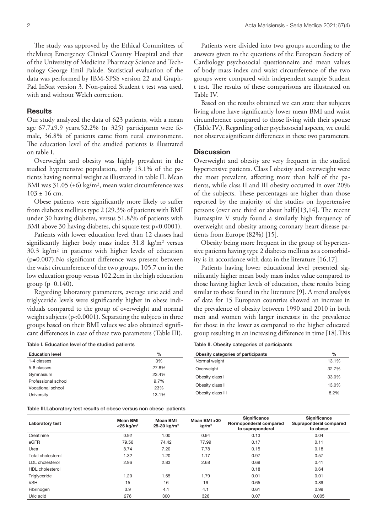The study was approved by the Ethical Committees of theMureș Emergency Clinical County Hospital and that of the University of Medicine Pharmacy Science and Technology George Emil Palade. Statistical evaluation of the data was performed by IBM-SPSS version 22 and Graph-Pad InStat version 3. Non-paired Student t test was used, with and without Welch correction.

## Results

Our study analyzed the data of 623 patients, with a mean age 67.7±9.9 years.52.2% (n=325) participants were female, 36.8% of patients came from rural environment. The education level of the studied patients is illustrated on table I.

Overweight and obesity was highly prevalent in the studied hypertensive population, only 13.1% of the patients having normal weight as illustrated in table II. Mean BMI was 31.05 (±6) kg/m<sup>2</sup>, mean waist circumference was  $103 \pm 16$  cm.

Obese patients were significantly more likely to suffer from diabetes mellitus type 2 (29.3% of patients with BMI under 30 having diabetes, versus 51.8/% of patients with BMI above 30 having diabetes, chi square test p<0.0001).

Patients with lower education level than 12 classes had significantly higher body mass index 31.8 kg/m2 versus 30.3 kg/m2 in patients with higher levels of education (p=0.007).No significant difference was present between the waist circumference of the two groups, 105.7 cm in the low education group versus 102.2cm in the high education group  $(p=0.140)$ .

Regarding laboratory parameters, average uric acid and triglyceride levels were significantly higher in obese individuals compared to the group of overweight and normal weight subjects (p<0.0001). Separating the subjects in three groups based on their BMI values we also obtained significant differences in case of these two parameters (Table III).

Table I. Education level of the studied patients

Patients were divided into two groups according to the answers given to the questions of the European Society of Cardiology psychosocial questionnaire and mean values of body mass index and waist circumference of the two groups were compared with independent sample Student t test. The results of these comparisons are illustrated on Table IV.

Based on the results obtained we can state that subjects living alone have significantly lower mean BMI and waist circumference compared to those living with their spouse (Table IV.). Regarding other psychosocial aspects, we could not observe significant differences in these two parameters.

## **Discussion**

Overweight and obesity are very frequent in the studied hypertensive patients. Class I obesity and overweight were the most prevalent, affecting more than half of the patients, while class II and III obesity occurred in over 20% of the subjects. These percentages are higher than those reported by the majority of the studies on hypertensive persons (over one third or about half)[13,14]. The recent Euroaspire V study found a similarly high frequency of overweight and obesity among coronary heart disease patients from Europe (82%) [15].

Obesity being more frequent in the group of hypertensive patients having type 2 diabetes mellitus as a comorbidity is in accordance with data in the literature [16,17].

Patients having lower educational level presented significantly higher mean body mass index value compared to those having higher levels of education, these results being similar to those found in the literature [9]. A trend analysis of data for 15 European countries showed an increase in the prevalence of obesity between 1990 and 2010 in both men and women with larger increases in the prevalence for those in the lower as compared to the higher educated group resulting in an increasing difference in time [18].This

Table II. Obesity categories of participants

| <b>Education level</b> | $\%$  | Obesity categories of participants | $\frac{0}{0}$ |
|------------------------|-------|------------------------------------|---------------|
| 1-4 classes            | 3%    | Normal weight                      | 13.1%         |
| 5-8 classes            | 27.8% | Overweight                         | 32.7%         |
| Gymnasium              | 23.4% | Obesity class I                    | 33.0%         |
| Professional school    | 9.7%  |                                    |               |
| Vocational school      | 23%   | Obesity class II                   | 13.0%         |
| University             | 13.1% | Obesity class III                  | 8.2%          |
|                        |       |                                    |               |

Table III.Laboratory test results of obese versus non obese patients

| <b>Laboratory test</b> | <b>Mean BMI</b><br>$<$ 25 kg/m <sup>2</sup> | <b>Mean BMI</b><br>$25-30$ kg/m <sup>2</sup> | Mean BMI >30<br>kg/m <sup>2</sup> | Significance<br>Normoponderal compared<br>to supraponderal | Significance<br>Supraponderal compared<br>to obese |
|------------------------|---------------------------------------------|----------------------------------------------|-----------------------------------|------------------------------------------------------------|----------------------------------------------------|
| Creatinine             | 0.92                                        | 1.00                                         | 0.94                              | 0.13                                                       | 0.04                                               |
| eGFR                   | 79.56                                       | 74.42                                        | 77.99                             | 0.17                                                       | 0.11                                               |
| Urea                   | 8.74                                        | 7.20                                         | 7.78                              | 0.15                                                       | 0.18                                               |
| Total cholesterol      | 1.32                                        | 1.20                                         | 1.17                              | 0.97                                                       | 0.57                                               |
| LDL cholesterol        | 2.96                                        | 2.83                                         | 2.68                              | 0.69                                                       | 0.41                                               |
| HDL cholesterol        |                                             |                                              |                                   | 0.18                                                       | 0.64                                               |
| Triglyceride           | 1.20                                        | 1.55                                         | 1.79                              | 0.01                                                       | 0.01                                               |
| <b>VSH</b>             | 15                                          | 16                                           | 16                                | 0.65                                                       | 0.89                                               |
| Fibrinogen             | 3.9                                         | 4.1                                          | 4.1                               | 0.61                                                       | 0.99                                               |
| Uric acid              | 276                                         | 300                                          | 326                               | 0.07                                                       | 0.005                                              |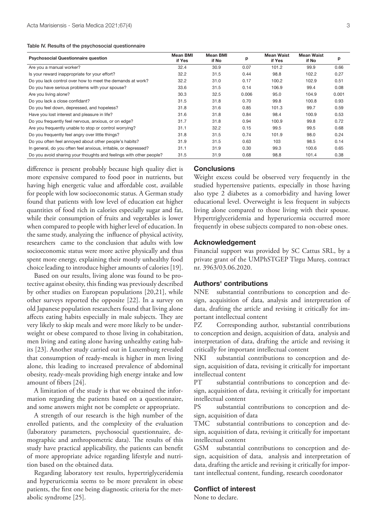| Table IV. Results of the psychosocial questionnaire |  |  |  |
|-----------------------------------------------------|--|--|--|
|-----------------------------------------------------|--|--|--|

| <b>Psychosocial Questionnaire question</b>                         | <b>Mean BMI</b><br>if Yes | <b>Mean BMI</b><br>if No | p     | <b>Mean Waist</b><br>if Yes | <b>Mean Waist</b><br>if No | р     |
|--------------------------------------------------------------------|---------------------------|--------------------------|-------|-----------------------------|----------------------------|-------|
| Are you a manual worker?                                           | 32.4                      | 30.9                     | 0.07  | 101.2                       | 99.9                       | 0.66  |
| Is your reward inappropriate for your effort?                      | 32.2                      | 31.5                     | 0.44  | 98.8                        | 102.2                      | 0.27  |
| Do you lack control over how to meet the demands at work?          | 32.2                      | 31.0                     | 0.17  | 100.2                       | 102.9                      | 0.51  |
| Do you have serious problems with your spouse?                     | 33.6                      | 31.5                     | 0.14  | 106.9                       | 99.4                       | 0.08  |
| Are you living alone?                                              | 30.3                      | 32.5                     | 0.006 | 95.0                        | 104.9                      | 0.001 |
| Do you lack a close confidant?                                     | 31.5                      | 31.8                     | 0.70  | 99.8                        | 100.8                      | 0.93  |
| Do you feel down, depressed, and hopeless?                         | 31.8                      | 31.6                     | 0.85  | 101.3                       | 99.7                       | 0.59  |
| Have you lost interest and pleasure in life?                       | 31.6                      | 31.8                     | 0.84  | 98.4                        | 100.9                      | 0.53  |
| Do you frequently feel nervous, anxious, or on edge?               | 31.7                      | 31.8                     | 0.94  | 100.9                       | 99.8                       | 0.72  |
| Are you frequently unable to stop or control worrying?             | 31.1                      | 32.2                     | 0.15  | 99.5                        | 99.5                       | 0.68  |
| Do you frequently feel angry over little things?                   | 31.8                      | 31.5                     | 0.74  | 101.9                       | 98.0                       | 0.24  |
| Do you often feel annoyed about other people's habits?             | 31.9                      | 31.5                     | 0.63  | 103                         | 98.5                       | 0.14  |
| In general, do you often feel anxious, irritable, or depressed?    | 31.1                      | 31.9                     | 0.30  | 99.3                        | 100.6                      | 0.65  |
| Do you avoid sharing your thoughts and feelings with other people? | 31.5                      | 31.9                     | 0.68  | 98.8                        | 101.4                      | 0.38  |

difference is present probably because high quality diet is more expensive compared to food poor in nutrients, but having high energetic value and affordable cost, available for people with low socioeconomic status. A German study found that patients with low level of education eat higher quantities of food rich in calories especially sugar and fat, while their consumption of fruits and vegetables is lower when compared to people with higher level of education. In the same study, analyzing the influence of physical activity, researchers came to the conclusion that adults with low socioeconomic status were more active physically and thus spent more energy, explaining their mostly unhealthy food choice leading to introduce higher amounts of calories [19].

Based on our results, living alone was found to be protective against obesity, this finding was previously described by other studies on European populations [20,21], while other surveys reported the opposite [22]. In a survey on old Japanese population researchers found that living alone affects eating habits especially in male subjects. They are very likely to skip meals and were more likely to be underweight or obese compared to those living in cohabitation, men living and eating alone having unhealthy eating habits [23]. Another study carried out in Luxemburg revealed that consumption of ready-meals is higher in men living alone, this leading to increased prevalence of abdominal obesity, ready-meals providing high energy intake and low amount of fibers [24].

A limitation of the study is that we obtained the information regarding the patients based on a questionnaire, and some answers might not be complete or appropriate.

A strength of our research is the high number of the enrolled patients, and the complexity of the evaluation (laboratory parameters, psychosocial questionnaire, demographic and anthropometric data). The results of this study have practical applicability, the patients can benefit of more appropriate advice regarding lifestyle and nutrition based on the obtained data.

Regarding laboratory test results, hypertriglyceridemia and hyperuricemia seems to be more prevalent in obese patients, the first one being diagnostic criteria for the metabolic syndrome [25].

## **Conclusions**

Weight excess could be observed very frequently in the studied hypertensive patients, especially in those having also type 2 diabetes as a comorbidity and having lower educational level. Overweight is less frequent in subjects living alone compared to those living with their spouse. Hypertriglyceridemia and hyperuricemia occurred more frequently in obese subjects compared to non-obese ones.

## Acknowledgement

Financial support was provided by SC Cattus SRL, by a private grant of the UMPhSTGEP Tîrgu Mureș, contract nr. 3963/03.06.2020.

## Authors' contributions

NNE substantial contributions to conception and design, acquisition of data, analysis and interpretation of data, drafting the article and revising it critically for important intellectual content

PZ Corresponding author, substantial contributions to conception and design, acquisition of data, analysis and interpretation of data, drafting the article and revising it critically for important intellectual content

NKI substantial contributions to conception and design, acquisition of data, revising it critically for important intellectual content

PT substantial contributions to conception and design, acquisition of data, revising it critically for important intellectual content

PS substantial contributions to conception and design, acquisition of data

TMC substantial contributions to conception and design, acquisition of data, revising it critically for important intellectual content

GSM substantial contributions to conception and design, acquisition of data, analysis and interpretation of data, drafting the article and revising it critically for important intellectual content, funding, research coordonator

### Conflict of interest

None to declare.